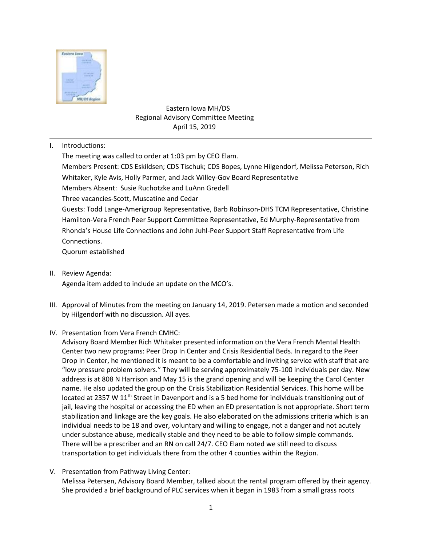

# Eastern Iowa MH/DS Regional Advisory Committee Meeting April 15, 2019

I. Introductions:

The meeting was called to order at 1:03 pm by CEO Elam. Members Present: CDS Eskildsen; CDS Tischuk; CDS Bopes, Lynne Hilgendorf, Melissa Peterson, Rich Whitaker, Kyle Avis, Holly Parmer, and Jack Willey-Gov Board Representative Members Absent: Susie Ruchotzke and LuAnn Gredell Three vacancies-Scott, Muscatine and Cedar Guests: Todd Lange-Amerigroup Representative, Barb Robinson-DHS TCM Representative, Christine Hamilton-Vera French Peer Support Committee Representative, Ed Murphy-Representative from Rhonda's House Life Connections and John Juhl-Peer Support Staff Representative from Life Connections. Quorum established

- II. Review Agenda: Agenda item added to include an update on the MCO's.
- III. Approval of Minutes from the meeting on January 14, 2019. Petersen made a motion and seconded by Hilgendorf with no discussion. All ayes.
- IV. Presentation from Vera French CMHC:

Advisory Board Member Rich Whitaker presented information on the Vera French Mental Health Center two new programs: Peer Drop In Center and Crisis Residential Beds. In regard to the Peer Drop In Center, he mentioned it is meant to be a comfortable and inviting service with staff that are "low pressure problem solvers." They will be serving approximately 75-100 individuals per day. New address is at 808 N Harrison and May 15 is the grand opening and will be keeping the Carol Center name. He also updated the group on the Crisis Stabilization Residential Services. This home will be located at 2357 W 11<sup>th</sup> Street in Davenport and is a 5 bed home for individuals transitioning out of jail, leaving the hospital or accessing the ED when an ED presentation is not appropriate. Short term stabilization and linkage are the key goals. He also elaborated on the admissions criteria which is an individual needs to be 18 and over, voluntary and willing to engage, not a danger and not acutely under substance abuse, medically stable and they need to be able to follow simple commands. There will be a prescriber and an RN on call 24/7. CEO Elam noted we still need to discuss transportation to get individuals there from the other 4 counties within the Region.

V. Presentation from Pathway Living Center:

Melissa Petersen, Advisory Board Member, talked about the rental program offered by their agency. She provided a brief background of PLC services when it began in 1983 from a small grass roots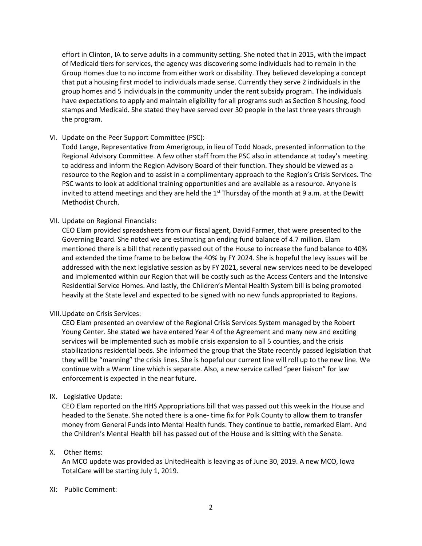effort in Clinton, IA to serve adults in a community setting. She noted that in 2015, with the impact of Medicaid tiers for services, the agency was discovering some individuals had to remain in the Group Homes due to no income from either work or disability. They believed developing a concept that put a housing first model to individuals made sense. Currently they serve 2 individuals in the group homes and 5 individuals in the community under the rent subsidy program. The individuals have expectations to apply and maintain eligibility for all programs such as Section 8 housing, food stamps and Medicaid. She stated they have served over 30 people in the last three years through the program.

## VI. Update on the Peer Support Committee (PSC):

Todd Lange, Representative from Amerigroup, in lieu of Todd Noack, presented information to the Regional Advisory Committee. A few other staff from the PSC also in attendance at today's meeting to address and inform the Region Advisory Board of their function. They should be viewed as a resource to the Region and to assist in a complimentary approach to the Region's Crisis Services. The PSC wants to look at additional training opportunities and are available as a resource. Anyone is invited to attend meetings and they are held the  $1<sup>st</sup>$  Thursday of the month at 9 a.m. at the Dewitt Methodist Church.

### VII. Update on Regional Financials:

CEO Elam provided spreadsheets from our fiscal agent, David Farmer, that were presented to the Governing Board. She noted we are estimating an ending fund balance of 4.7 million. Elam mentioned there is a bill that recently passed out of the House to increase the fund balance to 40% and extended the time frame to be below the 40% by FY 2024. She is hopeful the levy issues will be addressed with the next legislative session as by FY 2021, several new services need to be developed and implemented within our Region that will be costly such as the Access Centers and the Intensive Residential Service Homes. And lastly, the Children's Mental Health System bill is being promoted heavily at the State level and expected to be signed with no new funds appropriated to Regions.

#### VIII.Update on Crisis Services:

CEO Elam presented an overview of the Regional Crisis Services System managed by the Robert Young Center. She stated we have entered Year 4 of the Agreement and many new and exciting services will be implemented such as mobile crisis expansion to all 5 counties, and the crisis stabilizations residential beds. She informed the group that the State recently passed legislation that they will be "manning" the crisis lines. She is hopeful our current line will roll up to the new line. We continue with a Warm Line which is separate. Also, a new service called "peer liaison" for law enforcement is expected in the near future.

## IX. Legislative Update:

CEO Elam reported on the HHS Appropriations bill that was passed out this week in the House and headed to the Senate. She noted there is a one- time fix for Polk County to allow them to transfer money from General Funds into Mental Health funds. They continue to battle, remarked Elam. And the Children's Mental Health bill has passed out of the House and is sitting with the Senate.

## X. Other Items:

An MCO update was provided as UnitedHealth is leaving as of June 30, 2019. A new MCO, Iowa TotalCare will be starting July 1, 2019.

#### XI: Public Comment: